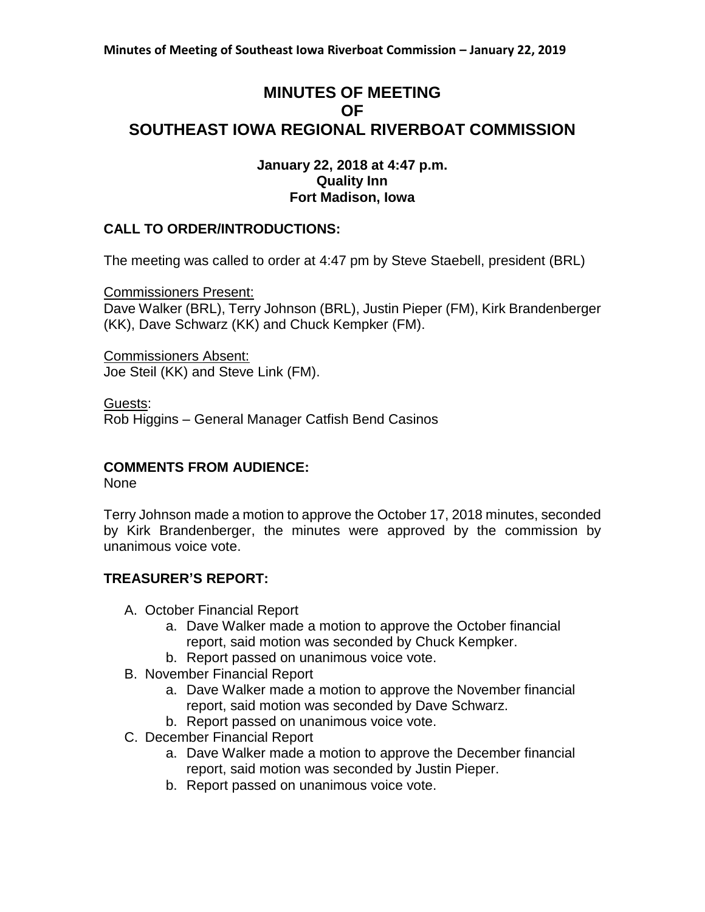# **MINUTES OF MEETING OF SOUTHEAST IOWA REGIONAL RIVERBOAT COMMISSION**

### **January 22, 2018 at 4:47 p.m. Quality Inn Fort Madison, Iowa**

# **CALL TO ORDER/INTRODUCTIONS:**

The meeting was called to order at 4:47 pm by Steve Staebell, president (BRL)

Commissioners Present:

Dave Walker (BRL), Terry Johnson (BRL), Justin Pieper (FM), Kirk Brandenberger (KK), Dave Schwarz (KK) and Chuck Kempker (FM).

Commissioners Absent: Joe Steil (KK) and Steve Link (FM).

Guests:

Rob Higgins – General Manager Catfish Bend Casinos

# **COMMENTS FROM AUDIENCE:**

None

Terry Johnson made a motion to approve the October 17, 2018 minutes, seconded by Kirk Brandenberger, the minutes were approved by the commission by unanimous voice vote.

# **TREASURER'S REPORT:**

- A. October Financial Report
	- a. Dave Walker made a motion to approve the October financial report, said motion was seconded by Chuck Kempker.
	- b. Report passed on unanimous voice vote.
- B. November Financial Report
	- a. Dave Walker made a motion to approve the November financial report, said motion was seconded by Dave Schwarz.
	- b. Report passed on unanimous voice vote.
- C. December Financial Report
	- a. Dave Walker made a motion to approve the December financial report, said motion was seconded by Justin Pieper.
	- b. Report passed on unanimous voice vote.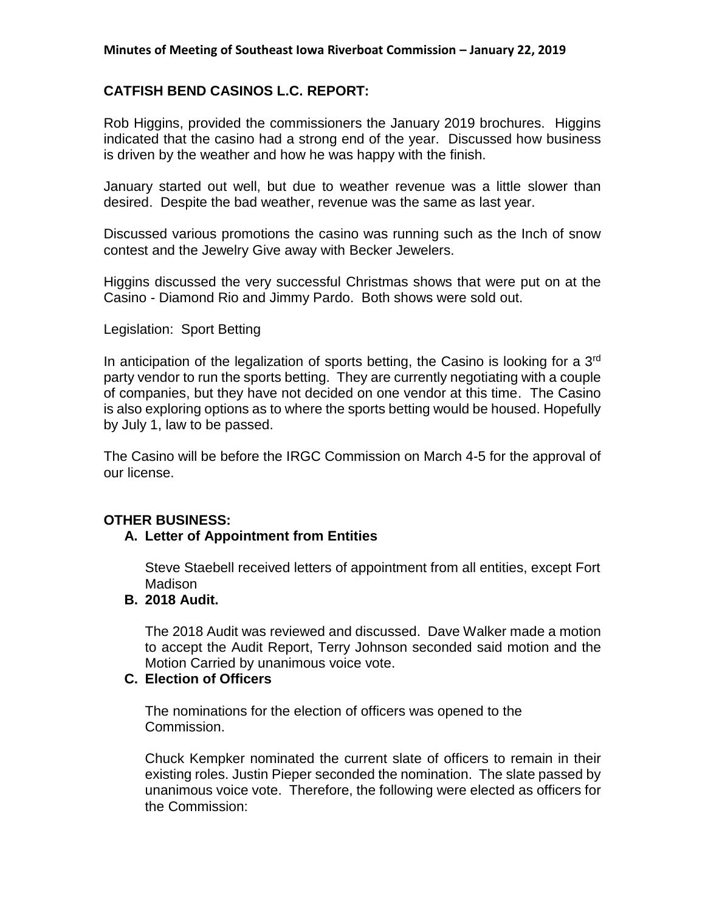#### **Minutes of Meeting of Southeast Iowa Riverboat Commission – January 22, 2019**

### **CATFISH BEND CASINOS L.C. REPORT:**

Rob Higgins, provided the commissioners the January 2019 brochures. Higgins indicated that the casino had a strong end of the year. Discussed how business is driven by the weather and how he was happy with the finish.

January started out well, but due to weather revenue was a little slower than desired. Despite the bad weather, revenue was the same as last year.

Discussed various promotions the casino was running such as the Inch of snow contest and the Jewelry Give away with Becker Jewelers.

Higgins discussed the very successful Christmas shows that were put on at the Casino - Diamond Rio and Jimmy Pardo. Both shows were sold out.

#### Legislation: Sport Betting

In anticipation of the legalization of sports betting, the Casino is looking for a  $3<sup>rd</sup>$ party vendor to run the sports betting. They are currently negotiating with a couple of companies, but they have not decided on one vendor at this time. The Casino is also exploring options as to where the sports betting would be housed. Hopefully by July 1, law to be passed.

The Casino will be before the IRGC Commission on March 4-5 for the approval of our license.

### **OTHER BUSINESS:**

#### **A. Letter of Appointment from Entities**

Steve Staebell received letters of appointment from all entities, except Fort Madison

#### **B. 2018 Audit.**

The 2018 Audit was reviewed and discussed. Dave Walker made a motion to accept the Audit Report, Terry Johnson seconded said motion and the Motion Carried by unanimous voice vote.

# **C. Election of Officers**

The nominations for the election of officers was opened to the Commission.

Chuck Kempker nominated the current slate of officers to remain in their existing roles. Justin Pieper seconded the nomination. The slate passed by unanimous voice vote. Therefore, the following were elected as officers for the Commission: